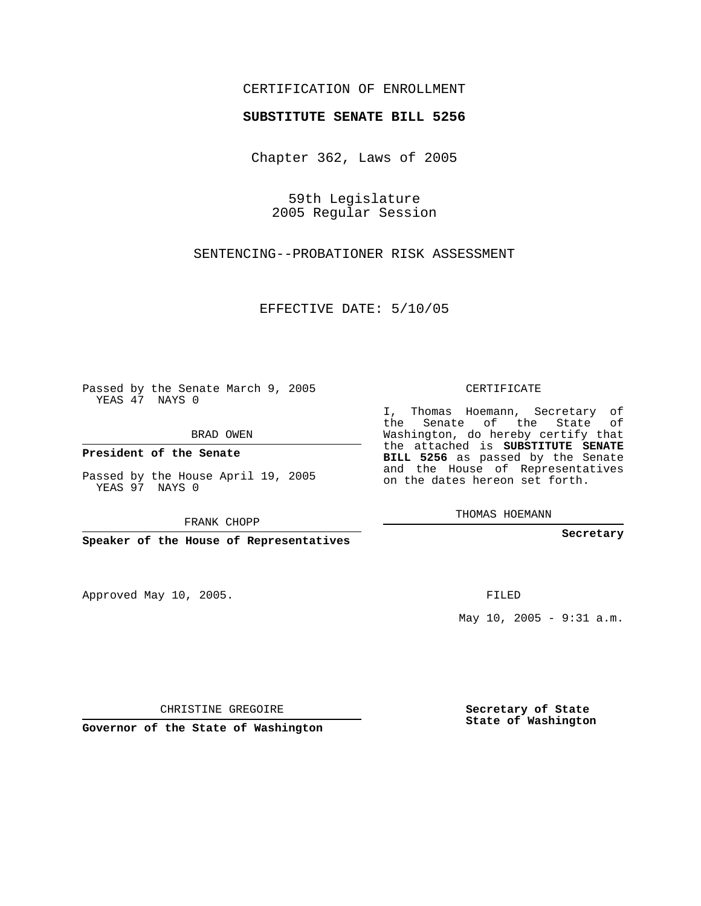## CERTIFICATION OF ENROLLMENT

## **SUBSTITUTE SENATE BILL 5256**

Chapter 362, Laws of 2005

59th Legislature 2005 Regular Session

SENTENCING--PROBATIONER RISK ASSESSMENT

EFFECTIVE DATE: 5/10/05

Passed by the Senate March 9, 2005 YEAS 47 NAYS 0

BRAD OWEN

**President of the Senate**

Passed by the House April 19, 2005 YEAS 97 NAYS 0

FRANK CHOPP

**Speaker of the House of Representatives**

Approved May 10, 2005.

CERTIFICATE

I, Thomas Hoemann, Secretary of the Senate of the State of Washington, do hereby certify that the attached is **SUBSTITUTE SENATE BILL 5256** as passed by the Senate and the House of Representatives on the dates hereon set forth.

THOMAS HOEMANN

**Secretary**

FILED

May 10, 2005 - 9:31 a.m.

**Secretary of State State of Washington**

CHRISTINE GREGOIRE

**Governor of the State of Washington**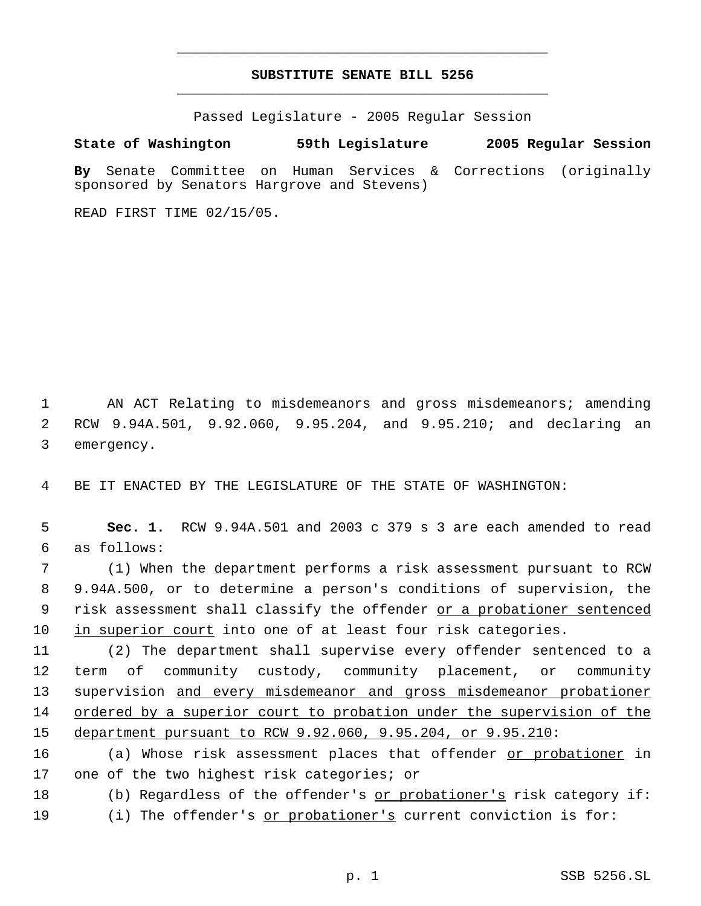## **SUBSTITUTE SENATE BILL 5256** \_\_\_\_\_\_\_\_\_\_\_\_\_\_\_\_\_\_\_\_\_\_\_\_\_\_\_\_\_\_\_\_\_\_\_\_\_\_\_\_\_\_\_\_\_

\_\_\_\_\_\_\_\_\_\_\_\_\_\_\_\_\_\_\_\_\_\_\_\_\_\_\_\_\_\_\_\_\_\_\_\_\_\_\_\_\_\_\_\_\_

Passed Legislature - 2005 Regular Session

## **State of Washington 59th Legislature 2005 Regular Session**

**By** Senate Committee on Human Services & Corrections (originally sponsored by Senators Hargrove and Stevens)

READ FIRST TIME 02/15/05.

 1 AN ACT Relating to misdemeanors and gross misdemeanors; amending 2 RCW 9.94A.501, 9.92.060, 9.95.204, and 9.95.210; and declaring an 3 emergency.

4 BE IT ENACTED BY THE LEGISLATURE OF THE STATE OF WASHINGTON:

 5 **Sec. 1.** RCW 9.94A.501 and 2003 c 379 s 3 are each amended to read 6 as follows:

 (1) When the department performs a risk assessment pursuant to RCW 9.94A.500, or to determine a person's conditions of supervision, the 9 risk assessment shall classify the offender or a probationer sentenced in superior court into one of at least four risk categories.

 (2) The department shall supervise every offender sentenced to a term of community custody, community placement, or community 13 supervision and every misdemeanor and gross misdemeanor probationer ordered by a superior court to probation under the supervision of the department pursuant to RCW 9.92.060, 9.95.204, or 9.95.210:

16 (a) Whose risk assessment places that offender or probationer in 17 one of the two highest risk categories; or

18 (b) Regardless of the offender's or probationer's risk category if: 19 (i) The offender's <u>or probationer's</u> current conviction is for: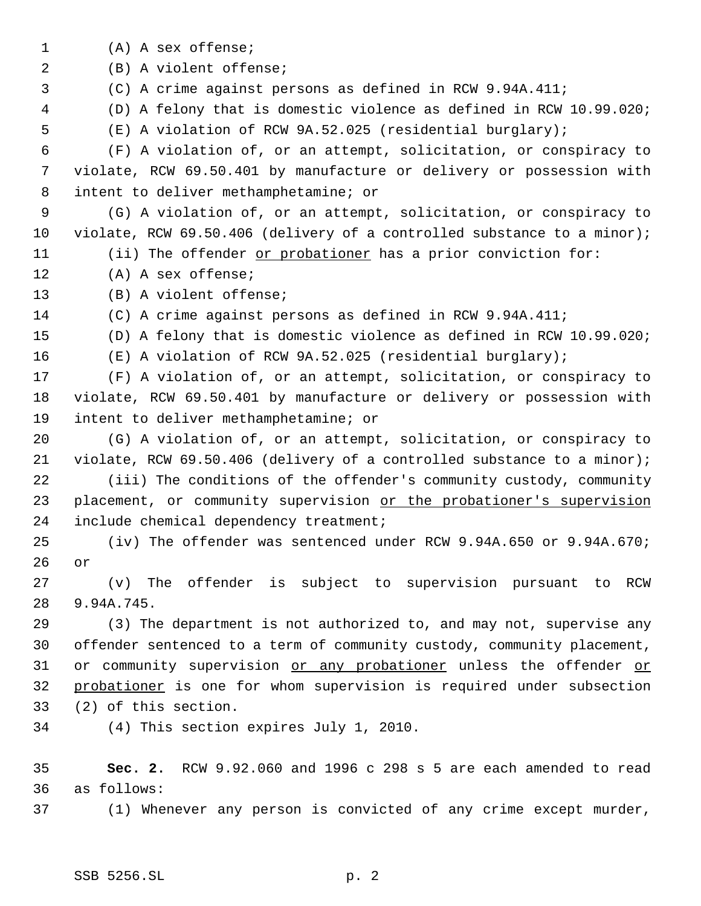(A) A sex offense; (B) A violent offense; (C) A crime against persons as defined in RCW 9.94A.411; (D) A felony that is domestic violence as defined in RCW 10.99.020; (E) A violation of RCW 9A.52.025 (residential burglary); (F) A violation of, or an attempt, solicitation, or conspiracy to violate, RCW 69.50.401 by manufacture or delivery or possession with intent to deliver methamphetamine; or (G) A violation of, or an attempt, solicitation, or conspiracy to violate, RCW 69.50.406 (delivery of a controlled substance to a minor); 11 (ii) The offender or probationer has a prior conviction for: (A) A sex offense; (B) A violent offense; (C) A crime against persons as defined in RCW 9.94A.411; (D) A felony that is domestic violence as defined in RCW 10.99.020; (E) A violation of RCW 9A.52.025 (residential burglary); (F) A violation of, or an attempt, solicitation, or conspiracy to violate, RCW 69.50.401 by manufacture or delivery or possession with intent to deliver methamphetamine; or (G) A violation of, or an attempt, solicitation, or conspiracy to violate, RCW 69.50.406 (delivery of a controlled substance to a minor); (iii) The conditions of the offender's community custody, community 23 placement, or community supervision or the probationer's supervision include chemical dependency treatment; (iv) The offender was sentenced under RCW 9.94A.650 or 9.94A.670; or (v) The offender is subject to supervision pursuant to RCW 9.94A.745. (3) The department is not authorized to, and may not, supervise any offender sentenced to a term of community custody, community placement, 31 or community supervision or any probationer unless the offender or 32 probationer is one for whom supervision is required under subsection (2) of this section. (4) This section expires July 1, 2010. **Sec. 2.** RCW 9.92.060 and 1996 c 298 s 5 are each amended to read as follows: (1) Whenever any person is convicted of any crime except murder,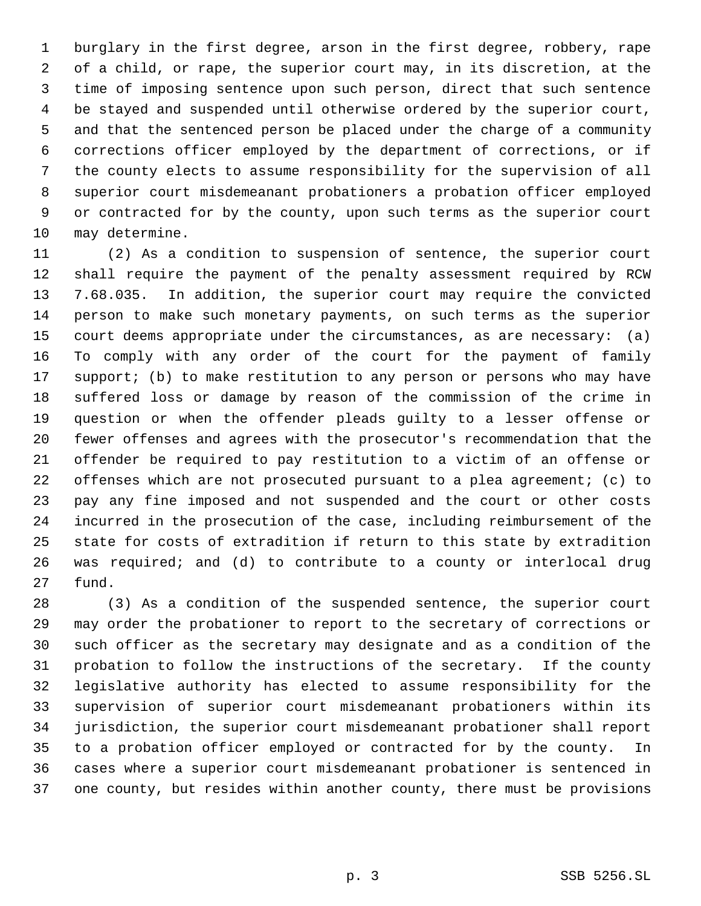burglary in the first degree, arson in the first degree, robbery, rape of a child, or rape, the superior court may, in its discretion, at the time of imposing sentence upon such person, direct that such sentence be stayed and suspended until otherwise ordered by the superior court, and that the sentenced person be placed under the charge of a community corrections officer employed by the department of corrections, or if the county elects to assume responsibility for the supervision of all superior court misdemeanant probationers a probation officer employed or contracted for by the county, upon such terms as the superior court may determine.

 (2) As a condition to suspension of sentence, the superior court shall require the payment of the penalty assessment required by RCW 7.68.035. In addition, the superior court may require the convicted person to make such monetary payments, on such terms as the superior court deems appropriate under the circumstances, as are necessary: (a) To comply with any order of the court for the payment of family support; (b) to make restitution to any person or persons who may have suffered loss or damage by reason of the commission of the crime in question or when the offender pleads guilty to a lesser offense or fewer offenses and agrees with the prosecutor's recommendation that the offender be required to pay restitution to a victim of an offense or offenses which are not prosecuted pursuant to a plea agreement; (c) to pay any fine imposed and not suspended and the court or other costs incurred in the prosecution of the case, including reimbursement of the state for costs of extradition if return to this state by extradition was required; and (d) to contribute to a county or interlocal drug fund.

 (3) As a condition of the suspended sentence, the superior court may order the probationer to report to the secretary of corrections or such officer as the secretary may designate and as a condition of the probation to follow the instructions of the secretary. If the county legislative authority has elected to assume responsibility for the supervision of superior court misdemeanant probationers within its jurisdiction, the superior court misdemeanant probationer shall report to a probation officer employed or contracted for by the county. In cases where a superior court misdemeanant probationer is sentenced in one county, but resides within another county, there must be provisions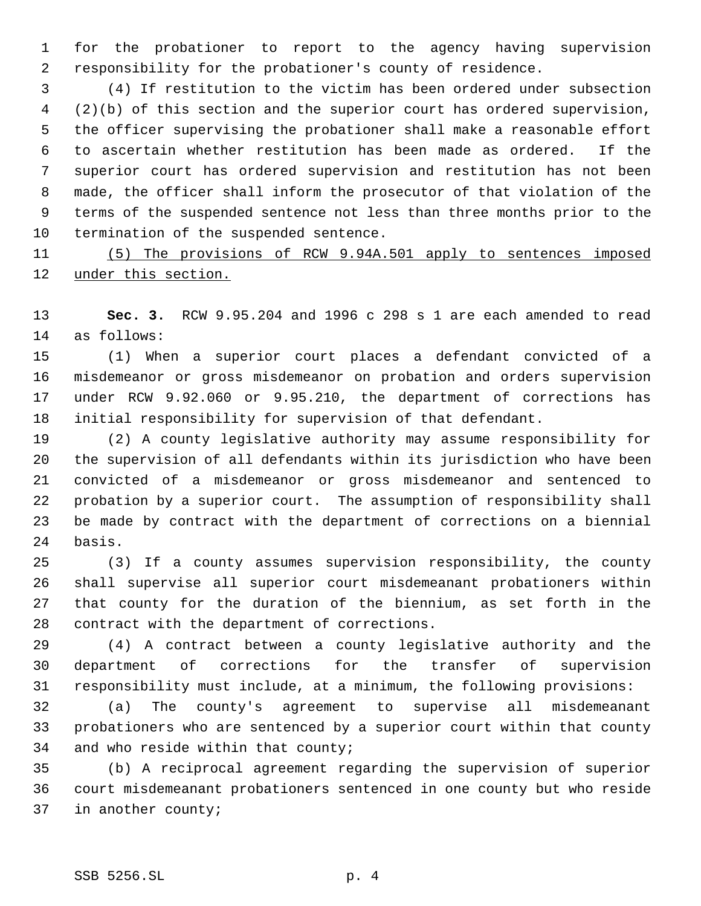for the probationer to report to the agency having supervision responsibility for the probationer's county of residence.

 (4) If restitution to the victim has been ordered under subsection (2)(b) of this section and the superior court has ordered supervision, the officer supervising the probationer shall make a reasonable effort to ascertain whether restitution has been made as ordered. If the superior court has ordered supervision and restitution has not been made, the officer shall inform the prosecutor of that violation of the terms of the suspended sentence not less than three months prior to the termination of the suspended sentence.

 (5) The provisions of RCW 9.94A.501 apply to sentences imposed under this section.

 **Sec. 3.** RCW 9.95.204 and 1996 c 298 s 1 are each amended to read as follows:

 (1) When a superior court places a defendant convicted of a misdemeanor or gross misdemeanor on probation and orders supervision under RCW 9.92.060 or 9.95.210, the department of corrections has initial responsibility for supervision of that defendant.

 (2) A county legislative authority may assume responsibility for the supervision of all defendants within its jurisdiction who have been convicted of a misdemeanor or gross misdemeanor and sentenced to probation by a superior court. The assumption of responsibility shall be made by contract with the department of corrections on a biennial basis.

 (3) If a county assumes supervision responsibility, the county shall supervise all superior court misdemeanant probationers within that county for the duration of the biennium, as set forth in the contract with the department of corrections.

 (4) A contract between a county legislative authority and the department of corrections for the transfer of supervision responsibility must include, at a minimum, the following provisions:

 (a) The county's agreement to supervise all misdemeanant probationers who are sentenced by a superior court within that county and who reside within that county;

 (b) A reciprocal agreement regarding the supervision of superior court misdemeanant probationers sentenced in one county but who reside in another county;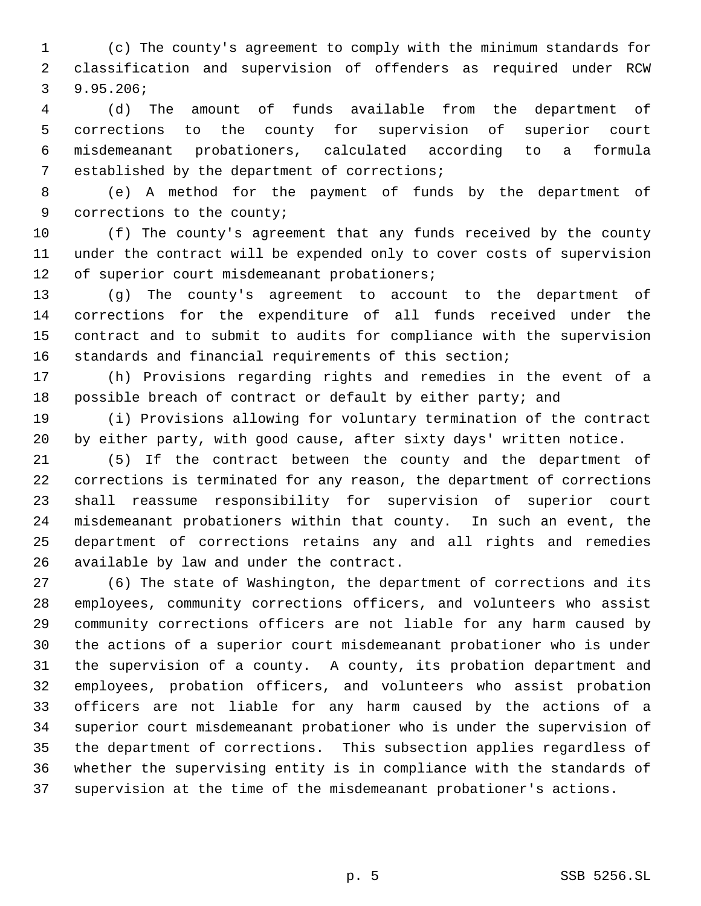(c) The county's agreement to comply with the minimum standards for classification and supervision of offenders as required under RCW 9.95.206;

 (d) The amount of funds available from the department of corrections to the county for supervision of superior court misdemeanant probationers, calculated according to a formula established by the department of corrections;

 (e) A method for the payment of funds by the department of corrections to the county;

 (f) The county's agreement that any funds received by the county under the contract will be expended only to cover costs of supervision of superior court misdemeanant probationers;

 (g) The county's agreement to account to the department of corrections for the expenditure of all funds received under the contract and to submit to audits for compliance with the supervision standards and financial requirements of this section;

 (h) Provisions regarding rights and remedies in the event of a possible breach of contract or default by either party; and

 (i) Provisions allowing for voluntary termination of the contract by either party, with good cause, after sixty days' written notice.

 (5) If the contract between the county and the department of corrections is terminated for any reason, the department of corrections shall reassume responsibility for supervision of superior court misdemeanant probationers within that county. In such an event, the department of corrections retains any and all rights and remedies available by law and under the contract.

 (6) The state of Washington, the department of corrections and its employees, community corrections officers, and volunteers who assist community corrections officers are not liable for any harm caused by the actions of a superior court misdemeanant probationer who is under the supervision of a county. A county, its probation department and employees, probation officers, and volunteers who assist probation officers are not liable for any harm caused by the actions of a superior court misdemeanant probationer who is under the supervision of the department of corrections. This subsection applies regardless of whether the supervising entity is in compliance with the standards of supervision at the time of the misdemeanant probationer's actions.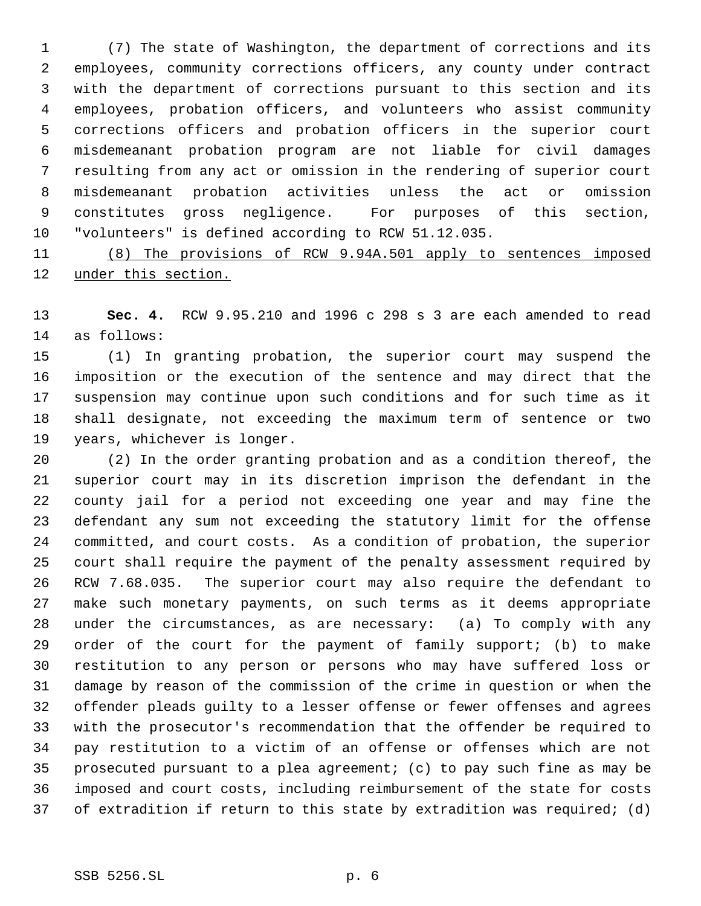(7) The state of Washington, the department of corrections and its employees, community corrections officers, any county under contract with the department of corrections pursuant to this section and its employees, probation officers, and volunteers who assist community corrections officers and probation officers in the superior court misdemeanant probation program are not liable for civil damages resulting from any act or omission in the rendering of superior court misdemeanant probation activities unless the act or omission constitutes gross negligence. For purposes of this section, "volunteers" is defined according to RCW 51.12.035.

 (8) The provisions of RCW 9.94A.501 apply to sentences imposed under this section.

 **Sec. 4.** RCW 9.95.210 and 1996 c 298 s 3 are each amended to read as follows:

 (1) In granting probation, the superior court may suspend the imposition or the execution of the sentence and may direct that the suspension may continue upon such conditions and for such time as it shall designate, not exceeding the maximum term of sentence or two years, whichever is longer.

 (2) In the order granting probation and as a condition thereof, the superior court may in its discretion imprison the defendant in the county jail for a period not exceeding one year and may fine the defendant any sum not exceeding the statutory limit for the offense committed, and court costs. As a condition of probation, the superior court shall require the payment of the penalty assessment required by RCW 7.68.035. The superior court may also require the defendant to make such monetary payments, on such terms as it deems appropriate under the circumstances, as are necessary: (a) To comply with any order of the court for the payment of family support; (b) to make restitution to any person or persons who may have suffered loss or damage by reason of the commission of the crime in question or when the offender pleads guilty to a lesser offense or fewer offenses and agrees with the prosecutor's recommendation that the offender be required to pay restitution to a victim of an offense or offenses which are not prosecuted pursuant to a plea agreement; (c) to pay such fine as may be imposed and court costs, including reimbursement of the state for costs of extradition if return to this state by extradition was required; (d)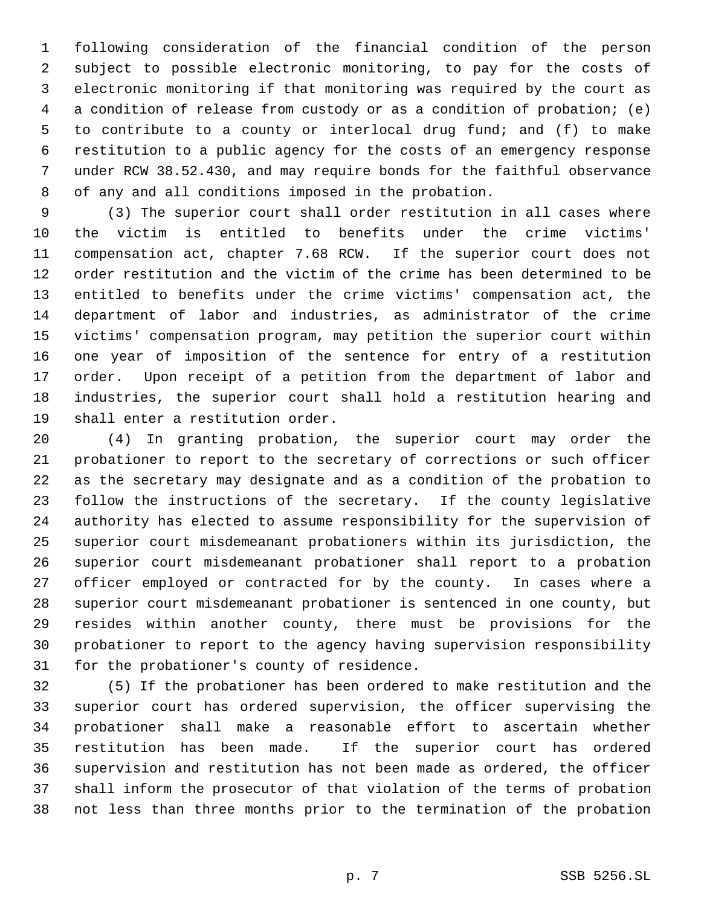following consideration of the financial condition of the person subject to possible electronic monitoring, to pay for the costs of electronic monitoring if that monitoring was required by the court as a condition of release from custody or as a condition of probation; (e) to contribute to a county or interlocal drug fund; and (f) to make restitution to a public agency for the costs of an emergency response under RCW 38.52.430, and may require bonds for the faithful observance of any and all conditions imposed in the probation.

 (3) The superior court shall order restitution in all cases where the victim is entitled to benefits under the crime victims' compensation act, chapter 7.68 RCW. If the superior court does not order restitution and the victim of the crime has been determined to be entitled to benefits under the crime victims' compensation act, the department of labor and industries, as administrator of the crime victims' compensation program, may petition the superior court within one year of imposition of the sentence for entry of a restitution order. Upon receipt of a petition from the department of labor and industries, the superior court shall hold a restitution hearing and shall enter a restitution order.

 (4) In granting probation, the superior court may order the probationer to report to the secretary of corrections or such officer as the secretary may designate and as a condition of the probation to follow the instructions of the secretary. If the county legislative authority has elected to assume responsibility for the supervision of superior court misdemeanant probationers within its jurisdiction, the superior court misdemeanant probationer shall report to a probation officer employed or contracted for by the county. In cases where a superior court misdemeanant probationer is sentenced in one county, but resides within another county, there must be provisions for the probationer to report to the agency having supervision responsibility for the probationer's county of residence.

 (5) If the probationer has been ordered to make restitution and the superior court has ordered supervision, the officer supervising the probationer shall make a reasonable effort to ascertain whether restitution has been made. If the superior court has ordered supervision and restitution has not been made as ordered, the officer shall inform the prosecutor of that violation of the terms of probation not less than three months prior to the termination of the probation